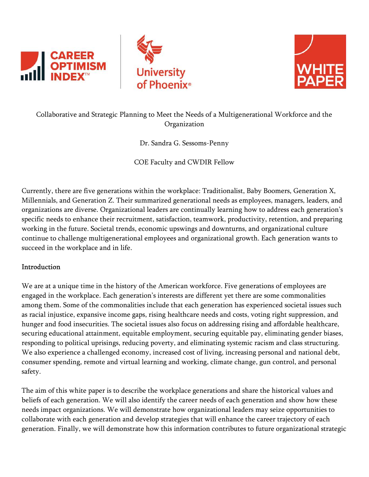





# Collaborative and Strategic Planning to Meet the Needs of a Multigenerational Workforce and the Organization

Dr. Sandra G. Sessoms-Penny

COE Faculty and CWDIR Fellow

Currently, there are five generations within the workplace: Traditionalist, Baby Boomers, Generation X, Millennials, and Generation Z. Their summarized generational needs as employees, managers, leaders, and organizations are diverse. Organizational leaders are continually learning how to address each generation's specific needs to enhance their recruitment, satisfaction, teamwork, productivity, retention, and preparing working in the future. Societal trends, economic upswings and downturns, and organizational culture continue to challenge multigenerational employees and organizational growth. Each generation wants to succeed in the workplace and in life.

## Introduction

We are at a unique time in the history of the American workforce. Five generations of employees are engaged in the workplace. Each generation's interests are different yet there are some commonalities among them. Some of the commonalities include that each generation has experienced societal issues such as racial injustice, expansive income gaps, rising healthcare needs and costs, voting right suppression, and hunger and food insecurities. The societal issues also focus on addressing rising and affordable healthcare, securing educational attainment, equitable employment, securing equitable pay, eliminating gender biases, responding to political uprisings, reducing poverty, and eliminating systemic racism and class structuring. We also experience a challenged economy, increased cost of living, increasing personal and national debt, consumer spending, remote and virtual learning and working, climate change, gun control, and personal safety.

The aim of this white paper is to describe the workplace generations and share the historical values and beliefs of each generation. We will also identify the career needs of each generation and show how these needs impact organizations. We will demonstrate how organizational leaders may seize opportunities to collaborate with each generation and develop strategies that will enhance the career trajectory of each generation. Finally, we will demonstrate how this information contributes to future organizational strategic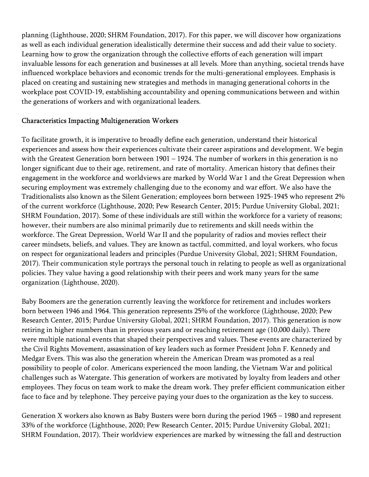planning (Lighthouse, 2020; SHRM Foundation, 2017). For this paper, we will discover how organizations as well as each individual generation idealistically determine their success and add their value to society. Learning how to grow the organization through the collective efforts of each generation will impart invaluable lessons for each generation and businesses at all levels. More than anything, societal trends have influenced workplace behaviors and economic trends for the multi-generational employees. Emphasis is placed on creating and sustaining new strategies and methods in managing generational cohorts in the workplace post COVID-19, establishing accountability and opening communications between and within the generations of workers and with organizational leaders.

### Characteristics Impacting Multigeneration Workers

To facilitate growth, it is imperative to broadly define each generation, understand their historical experiences and assess how their experiences cultivate their career aspirations and development. We begin with the Greatest Generation born between 1901 – 1924. The number of workers in this generation is no longer significant due to their age, retirement, and rate of mortality. American history that defines their engagement in the workforce and worldviews are marked by World War 1 and the Great Depression when securing employment was extremely challenging due to the economy and war effort. We also have the Traditionalists also known as the Silent Generation; employees born between 1925-1945 who represent 2% of the current workforce (Lighthouse, 2020; Pew Research Center, 2015; Purdue University Global, 2021; SHRM Foundation, 2017). Some of these individuals are still within the workforce for a variety of reasons; however, their numbers are also minimal primarily due to retirements and skill needs within the workforce. The Great Depression, World War II and the popularity of radios and movies reflect their career mindsets, beliefs, and values. They are known as tactful, committed, and loyal workers, who focus on respect for organizational leaders and principles (Purdue University Global, 2021; SHRM Foundation, 2017). Their communication style portrays the personal touch in relating to people as well as organizational policies. They value having a good relationship with their peers and work many years for the same organization (Lighthouse, 2020).

Baby Boomers are the generation currently leaving the workforce for retirement and includes workers born between 1946 and 1964. This generation represents 25% of the workforce (Lighthouse, 2020; Pew Research Center, 2015; Purdue University Global, 2021; SHRM Foundation, 2017). This generation is now retiring in higher numbers than in previous years and or reaching retirement age (10,000 daily). There were multiple national events that shaped their perspectives and values. These events are characterized by the Civil Rights Movement, assassination of key leaders such as former President John F. Kennedy and Medgar Evers. This was also the generation wherein the American Dream was promoted as a real possibility to people of color. Americans experienced the moon landing, the Vietnam War and political challenges such as Watergate. This generation of workers are motivated by loyalty from leaders and other employees. They focus on team work to make the dream work. They prefer efficient communication either face to face and by telephone. They perceive paying your dues to the organization as the key to success.

Generation X workers also known as Baby Busters were born during the period 1965 – 1980 and represent 33% of the workforce (Lighthouse, 2020; Pew Research Center, 2015; Purdue University Global, 2021; SHRM Foundation, 2017). Their worldview experiences are marked by witnessing the fall and destruction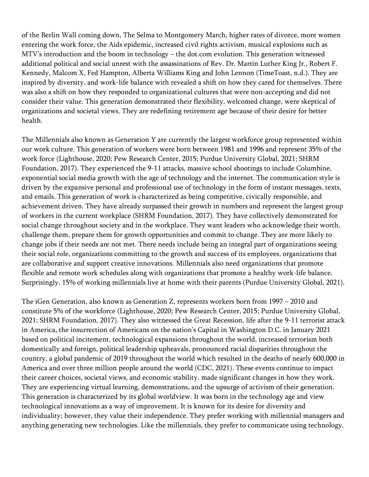of the Berlin Wall coming down, The Selma to Montgomery March, higher rates of divorce, more women entering the work force, the Aids epidemic, increased civil rights activism, musical explosions such as MTV's introduction and the boom in technology – the dot.com evolution. This generation witnessed additional political and social unrest with the assassinations of Rev. Dr. Martin Luther King Jr., Robert F. Kennedy, Malcom X, Fed Hampton, Alberta Williams King and John Lennon (TimeToast, n.d.). They are inspired by diversity, and work-life balance with revealed a shift on how they cared for themselves. There was also a shift on how they responded to organizational cultures that were non-accepting and did not consider their value. This generation demonstrated their flexibility, welcomed change, were skeptical of organizations and societal views. They are redefining retirement age because of their desire for better health.

The Millennials also known as Generation Y are currently the largest workforce group represented within our work culture. This generation of workers were born between 1981 and 1996 and represent 35% of the work force (Lighthouse, 2020; Pew Research Center, 2015; Purdue University Global, 2021; SHRM Foundation, 2017). They experienced the 9-11 attacks, massive school shootings to include Columbine, exponential social media growth with the age of technology and the internet. The communication style is driven by the expansive personal and professional use of technology in the form of instant messages, texts, and emails. This generation of work is characterized as being competitive, civically responsible, and achievement driven. They have already surpassed their growth in numbers and represent the largest group of workers in the current workplace (SHRM Foundation, 2017). They have collectively demonstrated for social change throughout society and in the workplace. They want leaders who acknowledge their worth, challenge them, prepare them for growth opportunities and commit to change. They are more likely to change jobs if their needs are not met. There needs include being an integral part of organizations seeing their social role, organizations committing to the growth and success of its employees, organizations that are collaborative and support creative innovations. Millennials also need organizations that promote flexible and remote work schedules along with organizations that promote a healthy work-life balance. Surprisingly, 15% of working millennials live at home with their parents (Purdue University Global, 2021).

The iGen Generation, also known as Generation Z, represents workers born from 1997 – 2010 and constitute 5% of the workforce (Lighthouse, 2020; Pew Research Center, 2015; Purdue University Global, 2021; SHRM Foundation, 2017). They also witnessed the Great Recession, life after the 9-11 terrorist attack in America, the insurrection of Americans on the nation's Capital in Washington D.C. in January 2021 based on political incitement, technological expansions throughout the world, increased terrorism both domestically and foreign, political leadership upheavals, pronounced racial disparities throughout the country, a global pandemic of 2019 throughout the world which resulted in the deaths of nearly 600,000 in America and over three million people around the world (CDC, 2021). These events continue to impact their career choices, societal views, and economic stability. made significant changes in how they work. They are experiencing virtual learning, demonstrations, and the upsurge of activism of their generation. This generation is characterized by its global worldview. It was born in the technology age and view technological innovations as a way of improvement. It is known for its desire for diversity and individuality; however, they value their independence. They prefer working with millennial managers and anything generating new technologies. Like the millennials, they prefer to communicate using technology.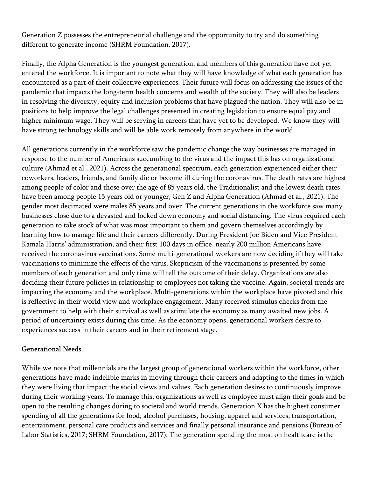Generation Z possesses the entrepreneurial challenge and the opportunity to try and do something different to generate income (SHRM Foundation, 2017).

Finally, the Alpha Generation is the youngest generation, and members of this generation have not yet entered the workforce. It is important to note what they will have knowledge of what each generation has encountered as a part of their collective experiences. Their future will focus on addressing the issues of the pandemic that impacts the long-term health concerns and wealth of the society. They will also be leaders in resolving the diversity, equity and inclusion problems that have plagued the nation. They will also be in positions to help improve the legal challenges presented in creating legislation to ensure equal pay and higher minimum wage. They will be serving in careers that have yet to be developed. We know they will have strong technology skills and will be able work remotely from anywhere in the world.

All generations currently in the workforce saw the pandemic change the way businesses are managed in response to the number of Americans succumbing to the virus and the impact this has on organizational culture (Ahmad et al., 2021). Across the generational spectrum, each generation experienced either their coworkers, leaders, friends, and family die or become ill during the coronavirus. The death rates are highest among people of color and those over the age of 85 years old, the Traditionalist and the lowest death rates have been among people 15 years old or younger, Gen Z and Alpha Generation (Ahmad et al., 2021). The gender most decimated were males 85 years and over. The current generations in the workforce saw many businesses close due to a devasted and locked down economy and social distancing. The virus required each generation to take stock of what was most important to them and govern themselves accordingly by learning how to manage life and their careers differently. During President Joe Biden and Vice President Kamala Harris' administration, and their first 100 days in office, nearly 200 million Americans have received the coronavirus vaccinations. Some multi-generational workers are now deciding if they will take vaccinations to minimize the effects of the virus. Skepticism of the vaccinations is presented by some members of each generation and only time will tell the outcome of their delay. Organizations are also deciding their future policies in relationship to employees not taking the vaccine. Again, societal trends are impacting the economy and the workplace. Multi-generations within the workplace have pivoted and this is reflective in their world view and workplace engagement. Many received stimulus checks from the government to help with their survival as well as stimulate the economy as many awaited new jobs. A period of uncertainty exists during this time. As the economy opens, generational workers desire to experiences success in their careers and in their retirement stage.

#### Generational Needs

While we note that millennials are the largest group of generational workers within the workforce, other generations have made indelible marks in moving through their careers and adapting to the times in which they were living that impact the social views and values. Each generation desires to continuously improve during their working years. To manage this, organizations as well as employee must align their goals and be open to the resulting changes during to societal and world trends. Generation X has the highest consumer spending of all the generations for food, alcohol purchases, housing, apparel and services, transportation, entertainment, personal care products and services and finally personal insurance and pensions (Bureau of Labor Statistics, 2017; SHRM Foundation, 2017). The generation spending the most on healthcare is the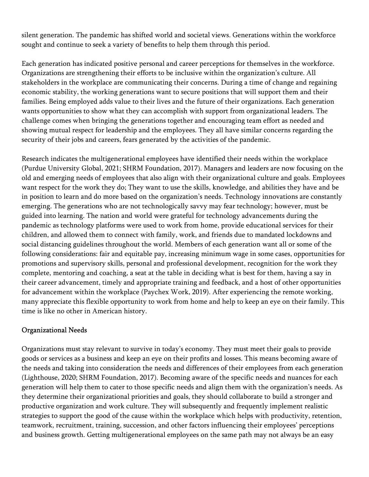silent generation. The pandemic has shifted world and societal views. Generations within the workforce sought and continue to seek a variety of benefits to help them through this period.

Each generation has indicated positive personal and career perceptions for themselves in the workforce. Organizations are strengthening their efforts to be inclusive within the organization's culture. All stakeholders in the workplace are communicating their concerns. During a time of change and regaining economic stability, the working generations want to secure positions that will support them and their families. Being employed adds value to their lives and the future of their organizations. Each generation wants opportunities to show what they can accomplish with support from organizational leaders. The challenge comes when bringing the generations together and encouraging team effort as needed and showing mutual respect for leadership and the employees. They all have similar concerns regarding the security of their jobs and careers, fears generated by the activities of the pandemic.

Research indicates the multigenerational employees have identified their needs within the workplace (Purdue University Global, 2021; SHRM Foundation, 2017). Managers and leaders are now focusing on the old and emerging needs of employees that also align with their organizational culture and goals. Employees want respect for the work they do; They want to use the skills, knowledge, and abilities they have and be in position to learn and do more based on the organization's needs. Technology innovations are constantly emerging. The generations who are not technologically savvy may fear technology; however, must be guided into learning. The nation and world were grateful for technology advancements during the pandemic as technology platforms were used to work from home, provide educational services for their children, and allowed them to connect with family, work, and friends due to mandated lockdowns and social distancing guidelines throughout the world. Members of each generation want all or some of the following considerations: fair and equitable pay, increasing minimum wage in some cases, opportunities for promotions and supervisory skills, personal and professional development, recognition for the work they complete, mentoring and coaching, a seat at the table in deciding what is best for them, having a say in their career advancement, timely and appropriate training and feedback, and a host of other opportunities for advancement within the workplace (Paychex Work, 2019). After experiencing the remote working, many appreciate this flexible opportunity to work from home and help to keep an eye on their family. This time is like no other in American history.

### Organizational Needs

Organizations must stay relevant to survive in today's economy. They must meet their goals to provide goods or services as a business and keep an eye on their profits and losses. This means becoming aware of the needs and taking into consideration the needs and differences of their employees from each generation (Lighthouse, 2020; SHRM Foundation, 2017). Becoming aware of the specific needs and nuances for each generation will help them to cater to those specific needs and align them with the organization's needs. As they determine their organizational priorities and goals, they should collaborate to build a stronger and productive organization and work culture. They will subsequently and frequently implement realistic strategies to support the good of the cause within the workplace which helps with productivity, retention, teamwork, recruitment, training, succession, and other factors influencing their employees' perceptions and business growth. Getting multigenerational employees on the same path may not always be an easy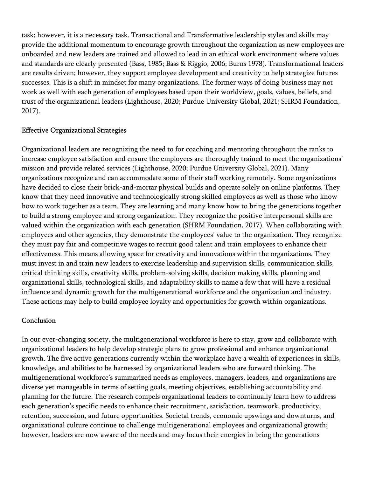task; however, it is a necessary task. Transactional and Transformative leadership styles and skills may provide the additional momentum to encourage growth throughout the organization as new employees are onboarded and new leaders are trained and allowed to lead in an ethical work environment where values and standards are clearly presented (Bass, 1985; Bass & Riggio, 2006; Burns 1978). Transformational leaders are results driven; however, they support employee development and creativity to help strategize futures successes. This is a shift in mindset for many organizations. The former ways of doing business may not work as well with each generation of employees based upon their worldview, goals, values, beliefs, and trust of the organizational leaders (Lighthouse, 2020; Purdue University Global, 2021; SHRM Foundation, 2017).

### Effective Organizational Strategies

Organizational leaders are recognizing the need to for coaching and mentoring throughout the ranks to increase employee satisfaction and ensure the employees are thoroughly trained to meet the organizations' mission and provide related services (Lighthouse, 2020; Purdue University Global, 2021). Many organizations recognize and can accommodate some of their staff working remotely. Some organizations have decided to close their brick-and-mortar physical builds and operate solely on online platforms. They know that they need innovative and technologically strong skilled employees as well as those who know how to work together as a team. They are learning and many know how to bring the generations together to build a strong employee and strong organization. They recognize the positive interpersonal skills are valued within the organization with each generation (SHRM Foundation, 2017). When collaborating with employees and other agencies, they demonstrate the employees' value to the organization. They recognize they must pay fair and competitive wages to recruit good talent and train employees to enhance their effectiveness. This means allowing space for creativity and innovations within the organizations. They must invest in and train new leaders to exercise leadership and supervision skills, communication skills, critical thinking skills, creativity skills, problem-solving skills, decision making skills, planning and organizational skills, technological skills, and adaptability skills to name a few that will have a residual influence and dynamic growth for the multigenerational workforce and the organization and industry. These actions may help to build employee loyalty and opportunities for growth within organizations.

#### Conclusion

In our ever-changing society, the multigenerational workforce is here to stay, grow and collaborate with organizational leaders to help develop strategic plans to grow professional and enhance organizational growth. The five active generations currently within the workplace have a wealth of experiences in skills, knowledge, and abilities to be harnessed by organizational leaders who are forward thinking. The multigenerational workforce's summarized needs as employees, managers, leaders, and organizations are diverse yet manageable in terms of setting goals, meeting objectives, establishing accountability and planning for the future. The research compels organizational leaders to continually learn how to address each generation's specific needs to enhance their recruitment, satisfaction, teamwork, productivity, retention, succession, and future opportunities. Societal trends, economic upswings and downturns, and organizational culture continue to challenge multigenerational employees and organizational growth; however, leaders are now aware of the needs and may focus their energies in bring the generations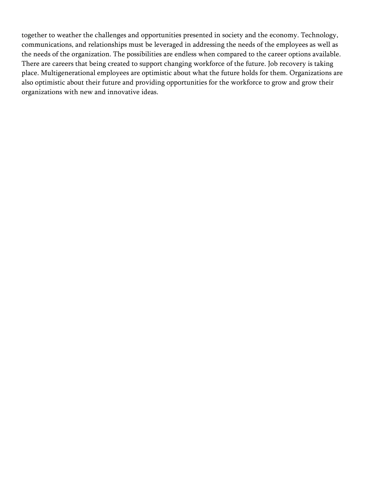together to weather the challenges and opportunities presented in society and the economy. Technology, communications, and relationships must be leveraged in addressing the needs of the employees as well as the needs of the organization. The possibilities are endless when compared to the career options available. There are careers that being created to support changing workforce of the future. Job recovery is taking place. Multigenerational employees are optimistic about what the future holds for them. Organizations are also optimistic about their future and providing opportunities for the workforce to grow and grow their organizations with new and innovative ideas.